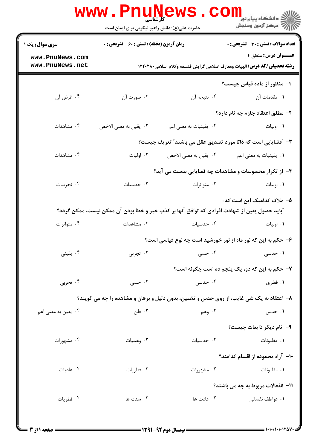| www.PnuN<br>دانشگاه پیام نو <mark>ر</mark><br>چ=مرکز آزمون وسنجش                        |                                                              |                                                                                                                |                                              |  |  |  |
|-----------------------------------------------------------------------------------------|--------------------------------------------------------------|----------------------------------------------------------------------------------------------------------------|----------------------------------------------|--|--|--|
|                                                                                         | حضرت علی(ع): دانش راهبر نیکویی برای ایمان است                |                                                                                                                |                                              |  |  |  |
| <b>سری سوال :</b> یک ۱                                                                  | <b>زمان آزمون (دقیقه) : تستی : 60 ٪ تشریحی : 0</b>           |                                                                                                                | <b>تعداد سوالات : تستی : 30 ٪ تشریحی : 0</b> |  |  |  |
| www.PnuNews.com<br>www.PnuNews.net                                                      |                                                              | <b>عنـــوان درس:</b> منطق ۴<br><b>رشته تحصیلی/کد درس:</b> الهیات ومعارف اسلامی گرایش فلسفه وکلام اسلامی۱۲۲۰۲۸۰ |                                              |  |  |  |
|                                                                                         |                                                              |                                                                                                                | ۱– منظور از ماده قیاس چیست؟                  |  |  |  |
| ۰۴ غرض آن                                                                               | ۰۳ صورت آن                                                   | ۰۲ نتيجه آن                                                                                                    | ۰ <b>۱</b> مقدمات آن                         |  |  |  |
|                                                                                         |                                                              |                                                                                                                | <b>۲</b> – مطلق اعتقاد جازم چه نام دارد؟     |  |  |  |
| ۰۴ مشاهدات                                                                              | ۰۳ يقين به معنى الاخص                                        | ۰۲ يقينيات به معنى اعم                                                                                         | ٠١. اوليات                                   |  |  |  |
|                                                                                         | ۳- "قضایایی است که ذاتا مورد تصدیق عقل می باشند" تعریف چیست؟ |                                                                                                                |                                              |  |  |  |
| ۰۴ مشاهدات                                                                              | ۰۳ اولیات                                                    | ٠٢ يقين به معنى الاخص                                                                                          | ۰۱ یقینیات به معنی اعم                       |  |  |  |
|                                                                                         | ۴- از تکرار محسوسات و مشاهدات چه قضایایی بدست می آید؟        |                                                                                                                |                                              |  |  |  |
| ۰۴ تجربیات                                                                              | ۰۳ حدسیات                                                    | ۰۲ متواترات                                                                                                    | ۰۱ اولیات                                    |  |  |  |
|                                                                                         |                                                              |                                                                                                                | ۵– ملاک کدامیک این است که :                  |  |  |  |
|                                                                                         |                                                              | آباید حصول یقین از شهادت افرادی که توافق آنها بر کذب خبر و خطا بودن آن ممکن نیست، ممکن گردد؟                   |                                              |  |  |  |
| ۰۴ متواترات                                                                             | ۰۳ مشاهدات                                                   | ۰۲ حدسیات                                                                                                      | ٠١. اوليات                                   |  |  |  |
|                                                                                         | ۶– حکم به این که نور ماه از نور خورشید است چه نوع قیاسی است؟ |                                                                                                                |                                              |  |  |  |
| ۰۴ يقيني                                                                                | ۰۳ تجربی                                                     | ۰۲ حسى $\cdot$                                                                                                 | ۱. حدسی                                      |  |  |  |
| ۷– حکم به این که دو، یک پنجم ده است چگونه است؟                                          |                                                              |                                                                                                                |                                              |  |  |  |
| ۰۴ تجربی                                                                                | ۰۳ حسی                                                       | ۲. حدسی                                                                                                        | ۰۱ فطری                                      |  |  |  |
| ۸– اعتقاد به یک شی غایب، از روی حدس و تخمین، بدون دلیل و برهان و مشاهده را چه می گویند؟ |                                                              |                                                                                                                |                                              |  |  |  |
| ۰۴ یقین به معنی اعم                                                                     | ۰۳ ظن                                                        | ۰۲ وهم                                                                                                         | ۰۱ حدس                                       |  |  |  |
|                                                                                         |                                                              |                                                                                                                | ۹– نام دیگر ذایعات چیست؟                     |  |  |  |
| ۰۴ مشهورات                                                                              | ۰۳ وهمیات                                                    | ٠٢ حدسيات                                                                                                      | ۰۱ مظنونات                                   |  |  |  |
|                                                                                         |                                                              |                                                                                                                | ۱۰– آراء محموده از اقسام کدامند؟             |  |  |  |
| ۰۴ عادیات                                                                               | ۰۳ فطریات                                                    | ۰۲ مشهورات                                                                                                     | ۰۱ مظنونات                                   |  |  |  |
|                                                                                         | 11- انفعالات مربوط به چه می باشند؟                           |                                                                                                                |                                              |  |  |  |
| ۰۴ فطريات                                                                               | ۰۳ سنت ها                                                    | ۰۲ عادت ها                                                                                                     | ۰۱ عواطف نفسانی                              |  |  |  |
|                                                                                         |                                                              |                                                                                                                |                                              |  |  |  |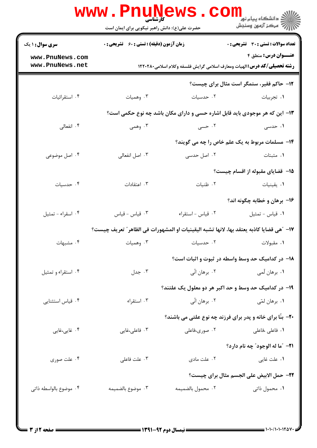|                                                                                           | <b>WWW.PNUNews</b><br><b>کارشناسی</b><br>حضرت علی(ع): دانش راهبر نیکویی برای ایمان است |                   | راد دانشگاه پيام نور <mark>− .</mark><br>ا∛ مرکز آزمون وسنجش                                                   |  |
|-------------------------------------------------------------------------------------------|----------------------------------------------------------------------------------------|-------------------|----------------------------------------------------------------------------------------------------------------|--|
| <b>سری سوال : ۱ یک</b>                                                                    | <b>زمان آزمون (دقیقه) : تستی : 60 ٪ تشریحی : 0</b>                                     |                   | <b>تعداد سوالات : تستی : 30 ٪ تشریحی : 0</b>                                                                   |  |
| www.PnuNews.com<br>www.PnuNews.net                                                        |                                                                                        |                   | <b>عنـــوان درس:</b> منطق ۴<br><b>رشته تحصیلی/کد درس:</b> الهیات ومعارف اسلامی گرایش فلسفه وکلام اسلامی۱۲۲۰۲۸۰ |  |
|                                                                                           |                                                                                        |                   | ۱۲- حاکم فقیر، ستمگر است مثال برای چیست؟                                                                       |  |
| ۰۴ استقرائیات                                                                             | ۰۳ وهمیات                                                                              | ۰۲ حدسیات         | ۰۱ تجربیات                                                                                                     |  |
|                                                                                           |                                                                                        |                   | ۱۳- این که هر موجودی باید قابل اشاره حسی و دارای مکان باشد چه نوع حکمی است؟                                    |  |
| ۰۴ انفعالی                                                                                | ۰۳ وهمی                                                                                | ۰۲ حسی            | <b>۱.</b> حدسی                                                                                                 |  |
|                                                                                           |                                                                                        |                   | ۱۴- مسلمات مربوط به یک علم خاص را چه می گویند؟                                                                 |  |
| ۰۴ اصل موضوعی                                                                             | ٠٣ اصل انفعالى                                                                         | ۰۲ اصل حدسی       | ۰۱ مثبتات                                                                                                      |  |
|                                                                                           |                                                                                        |                   | ۰۱۵ قضایای مقبوله از اقسام چیست؟                                                                               |  |
| ۰۴ حدسیات                                                                                 | ۰۳ اعتقادات                                                                            |                   | ۰۱ يقينيات مساعدة بالتاريخ المناسب بالمستخدم المستخدم المستخدم المستخدم المستخدم المستخدم المستخدمات المستخدما |  |
|                                                                                           |                                                                                        |                   | ۱۶- برهان و خطابه چگونه اند؟                                                                                   |  |
| ۰۴ اسقراء - تمثيل                                                                         | قياس - قياس $\cdot$                                                                    | ٠٢ قياس - استقراء | ٠١ قياس - تمثيل                                                                                                |  |
| ١٧–  "هي قضايا كاذبه يعتقد بها، لانها تشبه اليقينيات او المشهورات في الظاهر ّ تعريف چيست؟ |                                                                                        |                   |                                                                                                                |  |
| ۰۴ مشبهات                                                                                 | ۰۳ وهمیات                                                                              | ۰۲ حدسیات         | ۰۱ مقبولات                                                                                                     |  |
|                                                                                           |                                                                                        |                   | <b>۱۸- در کدامیک حد وسط واسطه در ثبوت و اثبات است</b> ؟                                                        |  |
| ۰۴ استقراء و تمثيل                                                                        | ۰۳ جدل                                                                                 | ۰۲ برهان اتّی     | ۰۱ برهان لّمي                                                                                                  |  |
|                                                                                           |                                                                                        |                   | ۱۹- در کدامیک حد وسط و حد اکبر هر دو معلول یک علتند؟                                                           |  |
| ۰۴ قیاس استثنایی                                                                          | ۰۳ استقراء                                                                             | ۰۲ برهان اتّی     | ۰۱ برهان لمّي                                                                                                  |  |
|                                                                                           |                                                                                        |                   | ۲۰- بنّا برای خانه و پدر برای فرزند چه نوع علتی می باشند؟                                                      |  |
| ۰۴ غایی،غایی                                                                              | ۰۳ فاعلی،غایی                                                                          | ۰۲ صوری،فاعلی     | <b>۱</b> . فاعلی ،فاعلی                                                                                        |  |
|                                                                                           |                                                                                        |                   | <b>٢١-</b> ″ما له الوجود″ چه نام دارد؟                                                                         |  |
| ۰۴ علت صوری                                                                               | ۰۳ علت فاعلی                                                                           | ۰۲ علت مادی       | ۰۱ علت غایی                                                                                                    |  |
|                                                                                           | ٢٢- حمل الابيض على الجسم مثال براي چيست؟                                               |                   |                                                                                                                |  |
| ۰۴ موضوع بالواسطه ذاتى                                                                    | ۰۳ موضوع بالضميمه                                                                      | ٢. محمول بالضميمه | ۰۱ محمول ذاتی                                                                                                  |  |
|                                                                                           |                                                                                        |                   |                                                                                                                |  |
|                                                                                           |                                                                                        |                   |                                                                                                                |  |